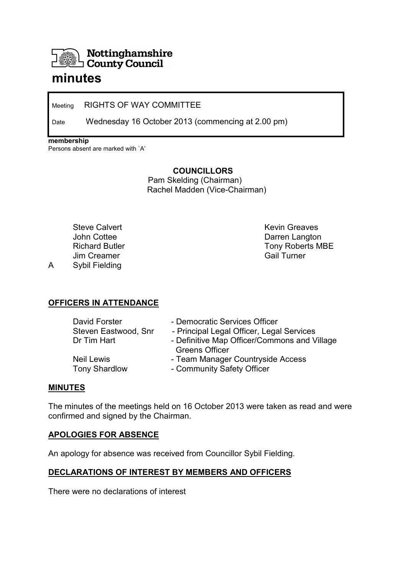

# **minutes**

Meeting RIGHTS OF WAY COMMITTEE

Date Wednesday 16 October 2013 (commencing at 2.00 pm)

**membership** 

Persons absent are marked with `A'

**COUNCILLORS** 

 Pam Skelding (Chairman) Rachel Madden (Vice-Chairman)

 Steve Calvert John Cottee Richard Butler Jim Creamer A Sybil Fielding

 Kevin Greaves Darren Langton Tony Roberts MBE Gail Turner

# **OFFICERS IN ATTENDANCE**

| David Forster        | - Democratic Services Officer                |
|----------------------|----------------------------------------------|
| Steven Eastwood, Snr | - Principal Legal Officer, Legal Services    |
| Dr Tim Hart          | - Definitive Map Officer/Commons and Village |
|                      | <b>Greens Officer</b>                        |
| <b>Neil Lewis</b>    | - Team Manager Countryside Access            |
| <b>Tony Shardlow</b> | - Community Safety Officer                   |

#### **MINUTES**

The minutes of the meetings held on 16 October 2013 were taken as read and were confirmed and signed by the Chairman.

#### **APOLOGIES FOR ABSENCE**

An apology for absence was received from Councillor Sybil Fielding.

# **DECLARATIONS OF INTEREST BY MEMBERS AND OFFICERS**

There were no declarations of interest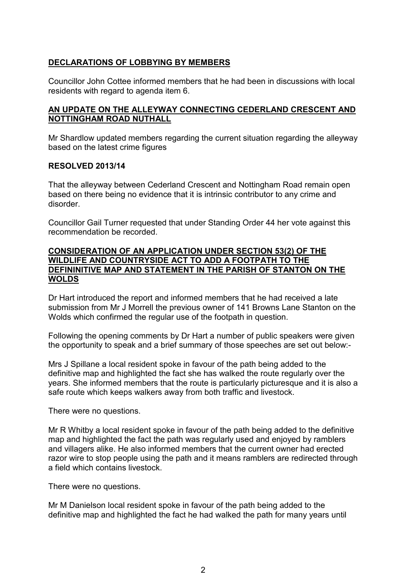# **DECLARATIONS OF LOBBYING BY MEMBERS**

Councillor John Cottee informed members that he had been in discussions with local residents with regard to agenda item 6.

#### **AN UPDATE ON THE ALLEYWAY CONNECTING CEDERLAND CRESCENT AND NOTTINGHAM ROAD NUTHALL**

Mr Shardlow updated members regarding the current situation regarding the alleyway based on the latest crime figures

### **RESOLVED 2013/14**

That the alleyway between Cederland Crescent and Nottingham Road remain open based on there being no evidence that it is intrinsic contributor to any crime and disorder.

Councillor Gail Turner requested that under Standing Order 44 her vote against this recommendation be recorded.

#### **CONSIDERATION OF AN APPLICATION UNDER SECTION 53(2) OF THE WILDLIFE AND COUNTRYSIDE ACT TO ADD A FOOTPATH TO THE DEFININITIVE MAP AND STATEMENT IN THE PARISH OF STANTON ON THE WOLDS**

Dr Hart introduced the report and informed members that he had received a late submission from Mr J Morrell the previous owner of 141 Browns Lane Stanton on the Wolds which confirmed the regular use of the footpath in question.

Following the opening comments by Dr Hart a number of public speakers were given the opportunity to speak and a brief summary of those speeches are set out below:-

Mrs J Spillane a local resident spoke in favour of the path being added to the definitive map and highlighted the fact she has walked the route regularly over the years. She informed members that the route is particularly picturesque and it is also a safe route which keeps walkers away from both traffic and livestock.

There were no questions.

Mr R Whitby a local resident spoke in favour of the path being added to the definitive map and highlighted the fact the path was regularly used and enjoyed by ramblers and villagers alike. He also informed members that the current owner had erected razor wire to stop people using the path and it means ramblers are redirected through a field which contains livestock.

There were no questions.

Mr M Danielson local resident spoke in favour of the path being added to the definitive map and highlighted the fact he had walked the path for many years until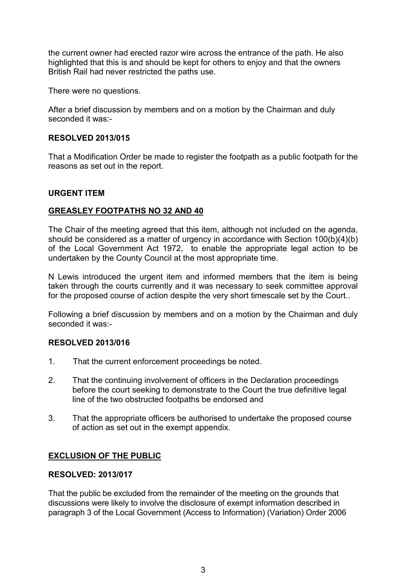the current owner had erected razor wire across the entrance of the path. He also highlighted that this is and should be kept for others to enjoy and that the owners British Rail had never restricted the paths use.

There were no questions.

After a brief discussion by members and on a motion by the Chairman and duly seconded it was:-

#### **RESOLVED 2013/015**

That a Modification Order be made to register the footpath as a public footpath for the reasons as set out in the report.

#### **URGENT ITEM**

#### **GREASLEY FOOTPATHS NO 32 AND 40**

The Chair of the meeting agreed that this item, although not included on the agenda, should be considered as a matter of urgency in accordance with Section 100(b)(4)(b) of the Local Government Act 1972, to enable the appropriate legal action to be undertaken by the County Council at the most appropriate time.

N Lewis introduced the urgent item and informed members that the item is being taken through the courts currently and it was necessary to seek committee approval for the proposed course of action despite the very short timescale set by the Court..

Following a brief discussion by members and on a motion by the Chairman and duly seconded it was:-

#### **RESOLVED 2013/016**

- 1. That the current enforcement proceedings be noted.
- 2. That the continuing involvement of officers in the Declaration proceedings before the court seeking to demonstrate to the Court the true definitive legal line of the two obstructed footpaths be endorsed and
- 3. That the appropriate officers be authorised to undertake the proposed course of action as set out in the exempt appendix.

#### **EXCLUSION OF THE PUBLIC**

#### **RESOLVED: 2013/017**

That the public be excluded from the remainder of the meeting on the grounds that discussions were likely to involve the disclosure of exempt information described in paragraph 3 of the Local Government (Access to Information) (Variation) Order 2006